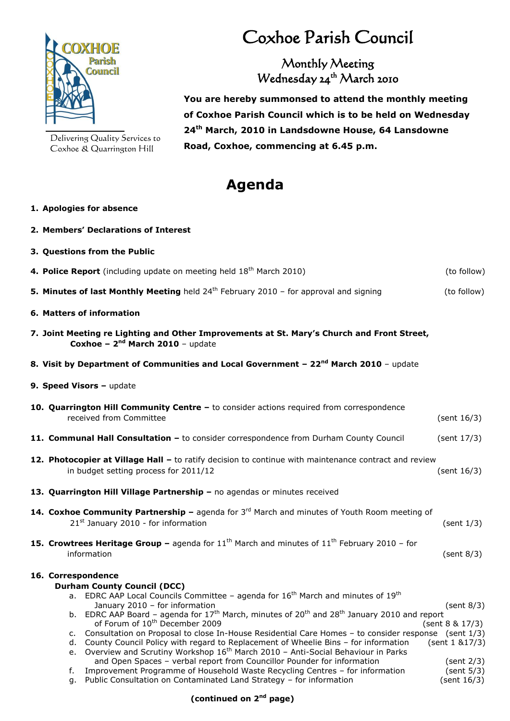

Delivering Quality Services to Coxhoe & Quarrington Hill

**2. Members' Declarations of Interest**

## Coxhoe Parish Council

Monthly Meeting Wednesday 24<sup>th</sup> March 2010

 **You are hereby summonsed to attend the monthly meeting of Coxhoe Parish Council which is to be held on Wednesday 24 th March, 2010 in Landsdowne House, 64 Lansdowne Road, Coxhoe, commencing at 6.45 p.m.**

## **Agenda**

## **1. Apologies for absence**

| 3. Questions from the Public                                                                                                                                                                                                                                                                                                                                                                                                                                                                                                                                                   |                                                  |
|--------------------------------------------------------------------------------------------------------------------------------------------------------------------------------------------------------------------------------------------------------------------------------------------------------------------------------------------------------------------------------------------------------------------------------------------------------------------------------------------------------------------------------------------------------------------------------|--------------------------------------------------|
| 4. Police Report (including update on meeting held 18 <sup>th</sup> March 2010)                                                                                                                                                                                                                                                                                                                                                                                                                                                                                                | (to follow)                                      |
| 5. Minutes of last Monthly Meeting held $24th$ February 2010 – for approval and signing                                                                                                                                                                                                                                                                                                                                                                                                                                                                                        | (to follow)                                      |
| 6. Matters of information                                                                                                                                                                                                                                                                                                                                                                                                                                                                                                                                                      |                                                  |
| 7. Joint Meeting re Lighting and Other Improvements at St. Mary's Church and Front Street,<br>Coxhoe - $2nd$ March 2010 - update                                                                                                                                                                                                                                                                                                                                                                                                                                               |                                                  |
| 8. Visit by Department of Communities and Local Government - 22 <sup>nd</sup> March 2010 - update                                                                                                                                                                                                                                                                                                                                                                                                                                                                              |                                                  |
| 9. Speed Visors - update                                                                                                                                                                                                                                                                                                                                                                                                                                                                                                                                                       |                                                  |
| 10. Quarrington Hill Community Centre - to consider actions required from correspondence<br>received from Committee                                                                                                                                                                                                                                                                                                                                                                                                                                                            | (sent $16/3$ )                                   |
| 11. Communal Hall Consultation - to consider correspondence from Durham County Council                                                                                                                                                                                                                                                                                                                                                                                                                                                                                         | (sent 17/3)                                      |
| 12. Photocopier at Village Hall - to ratify decision to continue with maintenance contract and review<br>in budget setting process for 2011/12                                                                                                                                                                                                                                                                                                                                                                                                                                 | (sent 16/3)                                      |
| 13. Quarrington Hill Village Partnership - no agendas or minutes received                                                                                                                                                                                                                                                                                                                                                                                                                                                                                                      |                                                  |
| 14. Coxhoe Community Partnership - agenda for 3rd March and minutes of Youth Room meeting of<br>21st January 2010 - for information                                                                                                                                                                                                                                                                                                                                                                                                                                            | (sent 1/3)                                       |
| <b>15. Crowtrees Heritage Group -</b> agenda for $11th$ March and minutes of $11th$ February 2010 - for<br>information                                                                                                                                                                                                                                                                                                                                                                                                                                                         | (sent 8/3)                                       |
| 16. Correspondence<br><b>Durham County Council (DCC)</b>                                                                                                                                                                                                                                                                                                                                                                                                                                                                                                                       |                                                  |
| a. EDRC AAP Local Councils Committee - agenda for $16th$ March and minutes of $19th$<br>January 2010 - for information<br>b. EDRC AAP Board - agenda for $17th$ March, minutes of $20th$ and $28th$ January 2010 and report<br>of Forum of 10 <sup>th</sup> December 2009<br>c. Consultation on Proposal to close In-House Residential Care Homes - to consider response (sent 1/3)<br>d. County Council Policy with regard to Replacement of Wheelie Bins - for information<br>e. Overview and Scrutiny Workshop 16 <sup>th</sup> March 2010 - Anti-Social Behaviour in Parks | (sent 8/3)<br>(sent 8 & 17/3)<br>(sent 1 & 17/3) |
| and Open Spaces - verbal report from Councillor Pounder for information<br>Improvement Programme of Household Waste Recycling Centres - for information<br>f.<br>g. Public Consultation on Contaminated Land Strategy - for information                                                                                                                                                                                                                                                                                                                                        | (sent 2/3)<br>(sent 5/3)<br>(sent 16/3)          |

## **(continued on 2nd page)**